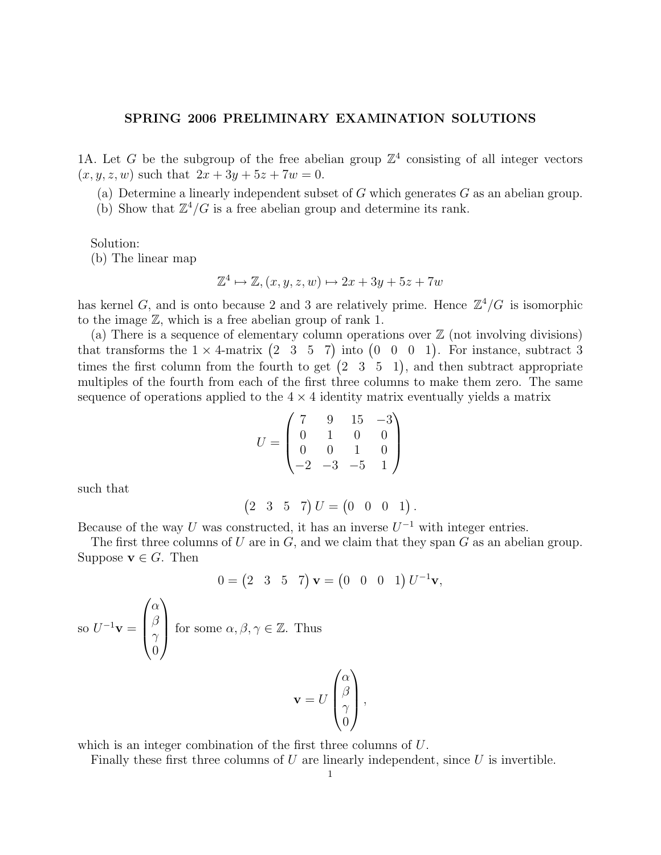## SPRING 2006 PRELIMINARY EXAMINATION SOLUTIONS

1A. Let G be the subgroup of the free abelian group  $\mathbb{Z}^4$  consisting of all integer vectors  $(x, y, z, w)$  such that  $2x + 3y + 5z + 7w = 0$ .

(a) Determine a linearly independent subset of  $G$  which generates  $G$  as an abelian group.

(b) Show that  $\mathbb{Z}^4/G$  is a free abelian group and determine its rank.

Solution:

(b) The linear map

$$
\mathbb{Z}^4 \mapsto \mathbb{Z}, (x, y, z, w) \mapsto 2x + 3y + 5z + 7w
$$

has kernel G, and is onto because 2 and 3 are relatively prime. Hence  $\mathbb{Z}^4/G$  is isomorphic to the image Z, which is a free abelian group of rank 1.

(a) There is a sequence of elementary column operations over  $\mathbb Z$  (not involving divisions) that transforms the  $1 \times 4$ -matrix  $(2 \ 3 \ 5 \ 7)$  into  $(0 \ 0 \ 0 \ 1)$ . For instance, subtract 3 times the first column from the fourth to get  $(2 \t3 \t5 \t1)$ , and then subtract appropriate multiples of the fourth from each of the first three columns to make them zero. The same sequence of operations applied to the  $4 \times 4$  identity matrix eventually yields a matrix

$$
U = \begin{pmatrix} 7 & 9 & 15 & -3 \\ 0 & 1 & 0 & 0 \\ 0 & 0 & 1 & 0 \\ -2 & -3 & -5 & 1 \end{pmatrix}
$$

such that

$$
(2 \t3 \t5 \t7) U = (0 \t0 \t1).
$$

Because of the way U was constructed, it has an inverse  $U^{-1}$  with integer entries.

The first three columns of U are in  $G$ , and we claim that they span  $G$  as an abelian group. Suppose  $\mathbf{v} \in G$ . Then

$$
0 = \begin{pmatrix} 2 & 3 & 5 & 7 \end{pmatrix} \mathbf{v} = \begin{pmatrix} 0 & 0 & 0 & 1 \end{pmatrix} U^{-1} \mathbf{v},
$$

so  $U^{-1}\mathbf{v} =$  $\sqrt{ }$  $\overline{\phantom{a}}$  $\alpha$  $\beta$  $\gamma$ 0  $\setminus$ for some  $\alpha, \beta, \gamma \in \mathbb{Z}$ . Thus

$$
\mathbf{v} = U \begin{pmatrix} \alpha \\ \beta \\ \gamma \\ 0 \end{pmatrix},
$$

which is an integer combination of the first three columns of U.

Finally these first three columns of  $U$  are linearly independent, since  $U$  is invertible.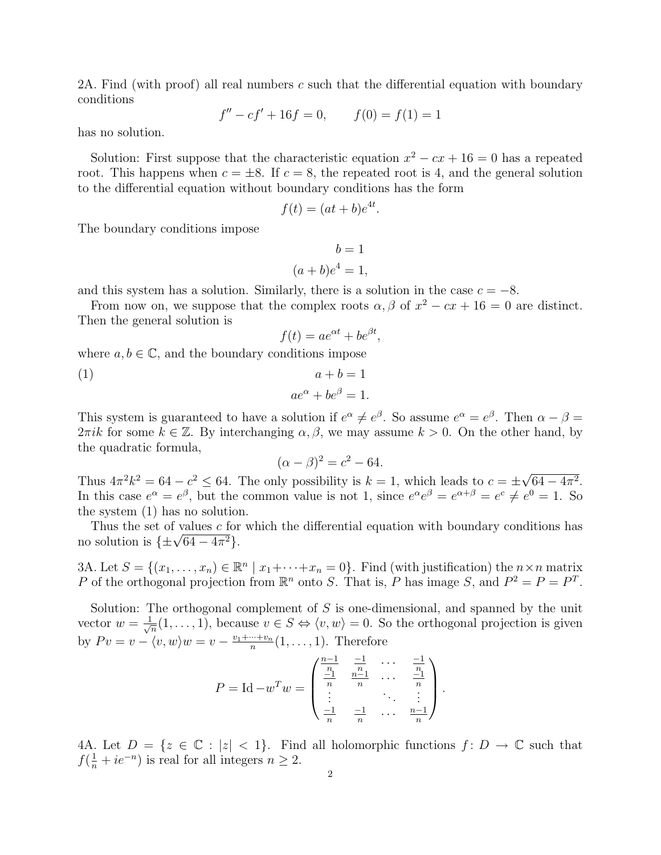2A. Find (with proof) all real numbers c such that the differential equation with boundary conditions

$$
f'' - cf' + 16f = 0, \qquad f(0) = f(1) = 1
$$

has no solution.

Solution: First suppose that the characteristic equation  $x^2 - cx + 16 = 0$  has a repeated root. This happens when  $c = \pm 8$ . If  $c = 8$ , the repeated root is 4, and the general solution to the differential equation without boundary conditions has the form

$$
f(t) = (at + b)e^{4t}.
$$

The boundary conditions impose

$$
b = 1
$$

$$
(a+b)e^4 = 1,
$$

and this system has a solution. Similarly, there is a solution in the case  $c = -8$ .

From now on, we suppose that the complex roots  $\alpha$ ,  $\beta$  of  $x^2 - cx + 16 = 0$  are distinct. Then the general solution is

$$
f(t) = ae^{\alpha t} + be^{\beta t},
$$

where  $a, b \in \mathbb{C}$ , and the boundary conditions impose

(1) 
$$
a+b=1
$$

$$
ae^{\alpha}+be^{\beta}=1.
$$

This system is guaranteed to have a solution if  $e^{\alpha} \neq e^{\beta}$ . So assume  $e^{\alpha} = e^{\beta}$ . Then  $\alpha - \beta =$  $2\pi i k$  for some  $k \in \mathbb{Z}$ . By interchanging  $\alpha, \beta$ , we may assume  $k > 0$ . On the other hand, by the quadratic formula,

$$
(\alpha - \beta)^2 = c^2 - 64.
$$

Thus  $4\pi^2 k^2 = 64 - c^2 \leq 64$ . The only possibility is  $k = 1$ , which leads to  $c = \pm$ √  $64 - 4\pi^2$ . In this case  $e^{\alpha} = e^{\beta}$ , but the common value is not 1, since  $e^{\alpha}e^{\beta} = e^{\alpha+\beta} = e^c \neq e^0 = 1$ . So the system (1) has no solution.

Thus the set of values  $c$  for which the differential equation with boundary conditions has Thus the set of values c for<br>no solution is  $\{\pm\sqrt{64-4\pi^2}\}.$ 

3A. Let  $S = \{(x_1, \ldots, x_n) \in \mathbb{R}^n \mid x_1 + \cdots + x_n = 0\}$ . Find (with justification) the  $n \times n$  matrix P of the orthogonal projection from  $\mathbb{R}^n$  onto S. That is, P has image S, and  $P^2 = P = P^T$ .

Solution: The orthogonal complement of  $S$  is one-dimensional, and spanned by the unit vector  $w = \frac{1}{\sqrt{2}}$  $\overline{m}_{\overline{n}}(1,\ldots,1)$ , because  $v \in S \Leftrightarrow \langle v,w \rangle = 0$ . So the orthogonal projection is given by  $Pv = v - \langle v, w \rangle w = v - \frac{v_1 + \dots + v_n}{n}$  $\frac{n+1}{n}(1,\ldots,1)$ . Therefore

$$
P = \mathrm{Id} - w^T w = \begin{pmatrix} \frac{n-1}{n} & \frac{-1}{n} & \cdots & \frac{-1}{n} \\ \frac{-1}{n} & \frac{n-1}{n} & \cdots & \frac{-1}{n} \\ \vdots & \vdots & \ddots & \vdots \\ \frac{-1}{n} & \frac{-1}{n} & \cdots & \frac{n-1}{n} \end{pmatrix}.
$$

4A. Let  $D = \{z \in \mathbb{C} : |z| < 1\}$ . Find all holomorphic functions  $f: D \to \mathbb{C}$  such that  $f(\frac{1}{n} + ie^{-n})$  is real for all integers  $n \geq 2$ .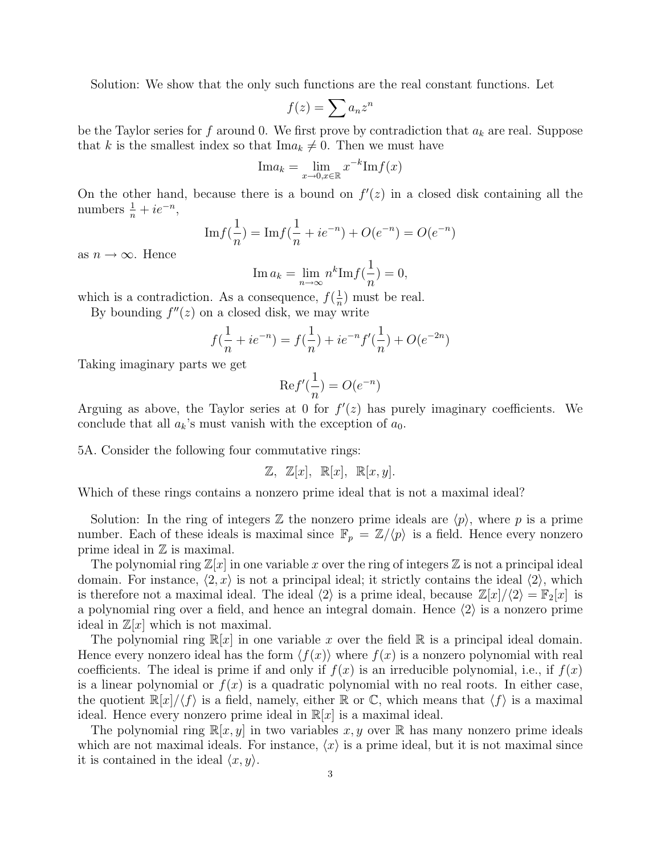Solution: We show that the only such functions are the real constant functions. Let

$$
f(z) = \sum a_n z^n
$$

be the Taylor series for f around 0. We first prove by contradiction that  $a_k$  are real. Suppose that k is the smallest index so that  $\text{Im}a_k \neq 0$ . Then we must have

$$
\text{Im}a_k = \lim_{x \to 0, x \in \mathbb{R}} x^{-k} \text{Im}f(x)
$$

On the other hand, because there is a bound on  $f'(z)$  in a closed disk containing all the numbers  $\frac{1}{n} + ie^{-n}$ ,

$$
\mathrm{Im} f(\frac{1}{n}) = \mathrm{Im} f(\frac{1}{n} + ie^{-n}) + O(e^{-n}) = O(e^{-n})
$$

as  $n \to \infty$ . Hence

$$
\operatorname{Im} a_k = \lim_{n \to \infty} n^k \operatorname{Im} f(\frac{1}{n}) = 0,
$$

which is a contradiction. As a consequence,  $f(\frac{1}{n})$  $\frac{1}{n}$ ) must be real.

By bounding  $f''(z)$  on a closed disk, we may write

$$
f(\frac{1}{n} + ie^{-n}) = f(\frac{1}{n}) + ie^{-n}f'(\frac{1}{n}) + O(e^{-2n})
$$

Taking imaginary parts we get

$$
\mathrm{Re}f'(\frac{1}{n}) = O(e^{-n})
$$

Arguing as above, the Taylor series at 0 for  $f'(z)$  has purely imaginary coefficients. We conclude that all  $a_k$ 's must vanish with the exception of  $a_0$ .

5A. Consider the following four commutative rings:

$$
\mathbb{Z}, \ \mathbb{Z}[x], \ \mathbb{R}[x], \ \mathbb{R}[x, y].
$$

Which of these rings contains a nonzero prime ideal that is not a maximal ideal?

Solution: In the ring of integers  $\mathbb Z$  the nonzero prime ideals are  $\langle p \rangle$ , where p is a prime number. Each of these ideals is maximal since  $\mathbb{F}_p = \mathbb{Z}/\langle p \rangle$  is a field. Hence every nonzero prime ideal in  $\mathbb Z$  is maximal.

The polynomial ring  $\mathbb{Z}[x]$  in one variable x over the ring of integers  $\mathbb{Z}$  is not a principal ideal domain. For instance,  $\langle 2, x \rangle$  is not a principal ideal; it strictly contains the ideal  $\langle 2 \rangle$ , which is therefore not a maximal ideal. The ideal  $\langle 2 \rangle$  is a prime ideal, because  $\mathbb{Z}[x]/\langle 2 \rangle = \mathbb{F}_2[x]$  is a polynomial ring over a field, and hence an integral domain. Hence  $\langle 2 \rangle$  is a nonzero prime ideal in  $\mathbb{Z}[x]$  which is not maximal.

The polynomial ring  $\mathbb{R}[x]$  in one variable x over the field  $\mathbb{R}$  is a principal ideal domain. Hence every nonzero ideal has the form  $\langle f(x) \rangle$  where  $f(x)$  is a nonzero polynomial with real coefficients. The ideal is prime if and only if  $f(x)$  is an irreducible polynomial, i.e., if  $f(x)$ is a linear polynomial or  $f(x)$  is a quadratic polynomial with no real roots. In either case, the quotient  $\mathbb{R}[x]/\langle f \rangle$  is a field, namely, either  $\mathbb R$  or  $\mathbb C$ , which means that  $\langle f \rangle$  is a maximal ideal. Hence every nonzero prime ideal in  $\mathbb{R}[x]$  is a maximal ideal.

The polynomial ring  $\mathbb{R}[x, y]$  in two variables x, y over R has many nonzero prime ideals which are not maximal ideals. For instance,  $\langle x \rangle$  is a prime ideal, but it is not maximal since it is contained in the ideal  $\langle x, y \rangle$ .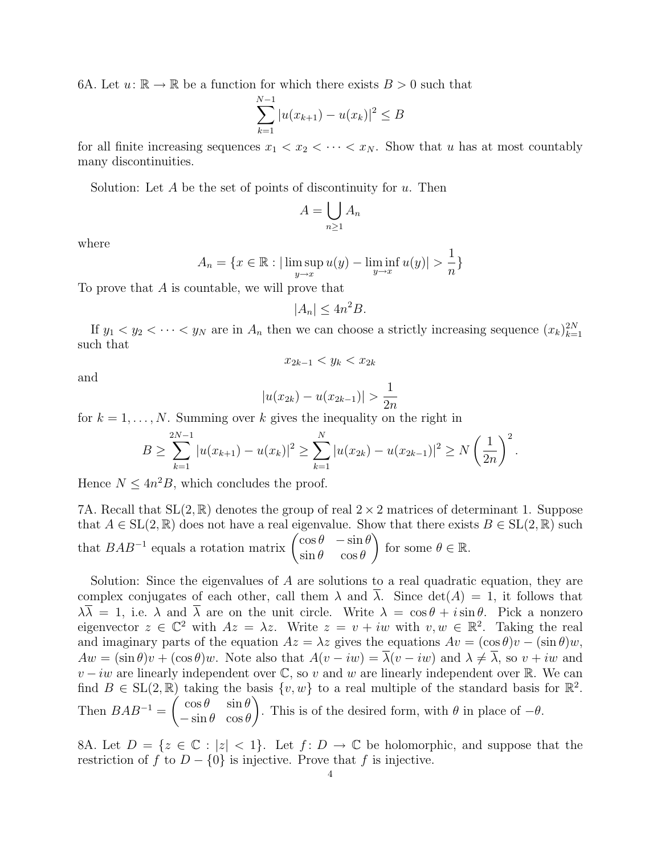6A. Let  $u: \mathbb{R} \to \mathbb{R}$  be a function for which there exists  $B > 0$  such that

$$
\sum_{k=1}^{N-1} |u(x_{k+1}) - u(x_k)|^2 \le B
$$

for all finite increasing sequences  $x_1 < x_2 < \cdots < x_N$ . Show that u has at most countably many discontinuities.

Solution: Let A be the set of points of discontinuity for  $u$ . Then

$$
A = \bigcup_{n \ge 1} A_n
$$

where

$$
A_n = \{ x \in \mathbb{R} : |\limsup_{y \to x} u(y) - \liminf_{y \to x} u(y)| > \frac{1}{n} \}
$$

To prove that A is countable, we will prove that

$$
|A_n| \le 4n^2B.
$$

If  $y_1 < y_2 < \cdots < y_N$  are in  $A_n$  then we can choose a strictly increasing sequence  $(x_k)_{k=1}^{2N}$ such that

$$
x_{2k-1} < y_k < x_{2k}
$$

and

$$
|u(x_{2k}) - u(x_{2k-1})| > \frac{1}{2n}
$$

for  $k = 1, \ldots, N$ . Summing over k gives the inequality on the right in

$$
B \geq \sum_{k=1}^{2N-1} |u(x_{k+1}) - u(x_k)|^2 \geq \sum_{k=1}^{N} |u(x_{2k}) - u(x_{2k-1})|^2 \geq N\left(\frac{1}{2n}\right)^2.
$$

Hence  $N \leq 4n^2B$ , which concludes the proof.

7A. Recall that  $SL(2,\mathbb{R})$  denotes the group of real  $2 \times 2$  matrices of determinant 1. Suppose that  $A \in SL(2,\mathbb{R})$  does not have a real eigenvalue. Show that there exists  $B \in SL(2,\mathbb{R})$  such that  $BAB^{-1}$  equals a rotation matrix  $\begin{pmatrix} \cos \theta & -\sin \theta \\ \sin \theta & \cos \theta \end{pmatrix}$  $\sin \theta \quad \cos \theta$ for some  $\theta \in \mathbb{R}$ .

Solution: Since the eigenvalues of A are solutions to a real quadratic equation, they are complex conjugates of each other, call them  $\lambda$  and  $\lambda$ . Since  $\det(A) = 1$ , it follows that  $\lambda \overline{\lambda} = 1$ , i.e.  $\lambda$  and  $\overline{\lambda}$  are on the unit circle. Write  $\lambda = \cos \theta + i \sin \theta$ . Pick a nonzero eigenvector  $z \in \mathbb{C}^2$  with  $Az = \lambda z$ . Write  $z = v + iw$  with  $v, w \in \mathbb{R}^2$ . Taking the real and imaginary parts of the equation  $Az = \lambda z$  gives the equations  $Av = (\cos \theta)v - (\sin \theta)w$ ,  $Aw = (\sin \theta)v + (\cos \theta)w$ . Note also that  $A(v - iw) = \lambda(v - iw)$  and  $\lambda \neq \lambda$ , so  $v + iw$  and  $v - iw$  are linearly independent over  $\mathbb{C}$ , so v and w are linearly independent over  $\mathbb{R}$ . We can find  $B \in SL(2,\mathbb{R})$  taking the basis  $\{v,w\}$  to a real multiple of the standard basis for  $\mathbb{R}^2$ . Then  $BAB^{-1}=\begin{pmatrix} \cos\theta & \sin\theta \\ \sin\theta & \cos\theta \end{pmatrix}$  $-\sin\theta \cos\theta$  $\setminus$ . This is of the desired form, with  $\theta$  in place of  $-\theta$ .

8A. Let  $D = \{z \in \mathbb{C} : |z| < 1\}$ . Let  $f: D \to \mathbb{C}$  be holomorphic, and suppose that the restriction of f to  $D - \{0\}$  is injective. Prove that f is injective.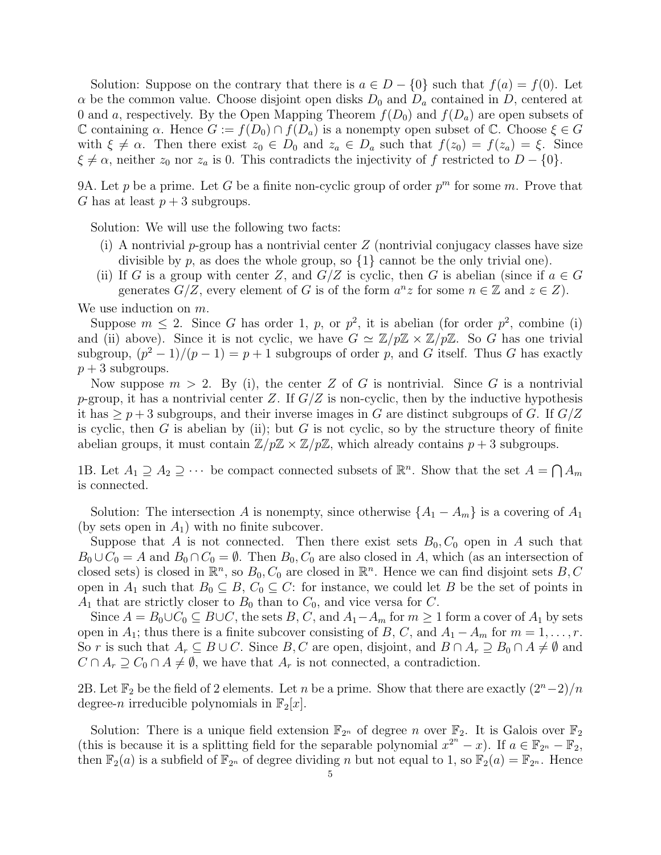Solution: Suppose on the contrary that there is  $a \in D - \{0\}$  such that  $f(a) = f(0)$ . Let  $\alpha$  be the common value. Choose disjoint open disks  $D_0$  and  $D_a$  contained in D, centered at 0 and a, respectively. By the Open Mapping Theorem  $f(D_0)$  and  $f(D_a)$  are open subsets of C containing  $\alpha$ . Hence  $G := f(D_0) \cap f(D_a)$  is a nonempty open subset of C. Choose  $\xi \in G$ with  $\xi \neq \alpha$ . Then there exist  $z_0 \in D_0$  and  $z_a \in D_a$  such that  $f(z_0) = f(z_a) = \xi$ . Since  $\xi \neq \alpha$ , neither  $z_0$  nor  $z_a$  is 0. This contradicts the injectivity of f restricted to  $D - \{0\}$ .

9A. Let p be a prime. Let G be a finite non-cyclic group of order  $p^m$  for some m. Prove that G has at least  $p + 3$  subgroups.

Solution: We will use the following two facts:

- (i) A nontrivial p-group has a nontrivial center  $Z$  (nontrivial conjugacy classes have size divisible by p, as does the whole group, so  $\{1\}$  cannot be the only trivial one).
- (ii) If G is a group with center Z, and  $G/Z$  is cyclic, then G is abelian (since if  $a \in G$ generates  $G/Z$ , every element of G is of the form  $a^n z$  for some  $n \in \mathbb{Z}$  and  $z \in Z$ ).

We use induction on  $m$ .

Suppose  $m \leq 2$ . Since G has order 1, p, or  $p^2$ , it is abelian (for order  $p^2$ , combine (i) and (ii) above). Since it is not cyclic, we have  $G \simeq \mathbb{Z}/p\mathbb{Z} \times \mathbb{Z}/p\mathbb{Z}$ . So G has one trivial subgroup,  $(p^2-1)/(p-1) = p+1$  subgroups of order p, and G itself. Thus G has exactly  $p + 3$  subgroups.

Now suppose  $m > 2$ . By (i), the center Z of G is nontrivial. Since G is a nontrivial p-group, it has a nontrivial center Z. If  $G/Z$  is non-cyclic, then by the inductive hypothesis it has  $\geq p+3$  subgroups, and their inverse images in G are distinct subgroups of G. If  $G/Z$ is cyclic, then G is abelian by (ii); but G is not cyclic, so by the structure theory of finite abelian groups, it must contain  $\mathbb{Z}/p\mathbb{Z} \times \mathbb{Z}/p\mathbb{Z}$ , which already contains  $p+3$  subgroups.

1B. Let  $A_1 \supseteq A_2 \supseteq \cdots$  be compact connected subsets of  $\mathbb{R}^n$ . Show that the set  $A = \bigcap A_m$ is connected.

Solution: The intersection A is nonempty, since otherwise  $\{A_1 - A_m\}$  is a covering of  $A_1$ (by sets open in  $A_1$ ) with no finite subcover.

Suppose that A is not connected. Then there exist sets  $B_0, C_0$  open in A such that  $B_0 \cup C_0 = A$  and  $B_0 \cap C_0 = \emptyset$ . Then  $B_0, C_0$  are also closed in A, which (as an intersection of closed sets) is closed in  $\mathbb{R}^n$ , so  $B_0, C_0$  are closed in  $\mathbb{R}^n$ . Hence we can find disjoint sets  $B, C$ open in  $A_1$  such that  $B_0 \subseteq B$ ,  $C_0 \subseteq C$ : for instance, we could let B be the set of points in  $A_1$  that are strictly closer to  $B_0$  than to  $C_0$ , and vice versa for C.

Since  $A = B_0 \cup C_0 \subseteq B \cup C$ , the sets B, C, and  $A_1 - A_m$  for  $m \ge 1$  form a cover of  $A_1$  by sets open in  $A_1$ ; thus there is a finite subcover consisting of B, C, and  $A_1 - A_m$  for  $m = 1, \ldots, r$ . So r is such that  $A_r \subseteq B \cup C$ . Since B, C are open, disjoint, and  $B \cap A_r \supseteq B_0 \cap A \neq \emptyset$  and  $C \cap A_r \supseteq C_0 \cap A \neq \emptyset$ , we have that  $A_r$  is not connected, a contradiction.

2B. Let  $\mathbb{F}_2$  be the field of 2 elements. Let n be a prime. Show that there are exactly  $(2^n-2)/n$ degree-n irreducible polynomials in  $\mathbb{F}_2[x]$ .

Solution: There is a unique field extension  $\mathbb{F}_{2^n}$  of degree n over  $\mathbb{F}_2$ . It is Galois over  $\mathbb{F}_2$ (this is because it is a splitting field for the separable polynomial  $x^{2^n} - x$ ). If  $a \in \mathbb{F}_{2^n} - \mathbb{F}_2$ , then  $\mathbb{F}_2(a)$  is a subfield of  $\mathbb{F}_{2^n}$  of degree dividing n but not equal to 1, so  $\mathbb{F}_2(a) = \mathbb{F}_{2^n}$ . Hence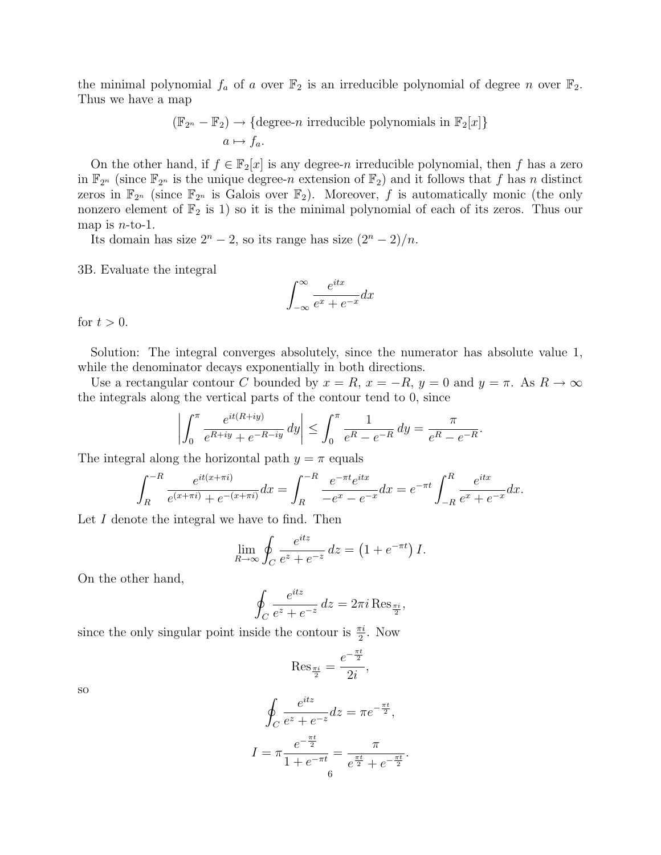the minimal polynomial  $f_a$  of a over  $\mathbb{F}_2$  is an irreducible polynomial of degree n over  $\mathbb{F}_2$ . Thus we have a map

$$
(\mathbb{F}_{2^n} - \mathbb{F}_2) \to \{\text{degree-}n \text{ irreducible polynomials in } \mathbb{F}_2[x]\}
$$
  
 $a \mapsto f_a.$ 

On the other hand, if  $f \in \mathbb{F}_2[x]$  is any degree-n irreducible polynomial, then f has a zero in  $\mathbb{F}_{2^n}$  (since  $\mathbb{F}_{2^n}$  is the unique degree-n extension of  $\mathbb{F}_2$ ) and it follows that f has n distinct zeros in  $\mathbb{F}_{2^n}$  (since  $\mathbb{F}_{2^n}$  is Galois over  $\mathbb{F}_2$ ). Moreover, f is automatically monic (the only nonzero element of  $\mathbb{F}_2$  is 1) so it is the minimal polynomial of each of its zeros. Thus our map is  $n$ -to-1.

Its domain has size  $2^{n} - 2$ , so its range has size  $(2^{n} - 2)/n$ .

3B. Evaluate the integral

$$
\int_{-\infty}^{\infty} \frac{e^{itx}}{e^x + e^{-x}} dx
$$

for  $t > 0$ .

Solution: The integral converges absolutely, since the numerator has absolute value 1, while the denominator decays exponentially in both directions.

Use a rectangular contour C bounded by  $x = R$ ,  $x = -R$ ,  $y = 0$  and  $y = \pi$ . As  $R \to \infty$ the integrals along the vertical parts of the contour tend to 0, since

$$
\left| \int_0^{\pi} \frac{e^{it(R+iy)}}{e^{R+iy} + e^{-R-iy}} dy \right| \le \int_0^{\pi} \frac{1}{e^R - e^{-R}} dy = \frac{\pi}{e^R - e^{-R}}
$$

.

The integral along the horizontal path  $y = \pi$  equals

$$
\int_{R}^{-R} \frac{e^{it(x+\pi i)}}{e^{(x+\pi i)} + e^{-(x+\pi i)}} dx = \int_{R}^{-R} \frac{e^{-\pi t}e^{itx}}{-e^{x} - e^{-x}} dx = e^{-\pi t} \int_{-R}^{R} \frac{e^{itx}}{e^{x} + e^{-x}} dx.
$$

Let I denote the integral we have to find. Then

$$
\lim_{R \to \infty} \oint_C \frac{e^{itz}}{e^z + e^{-z}} dz = \left(1 + e^{-\pi t}\right)I.
$$

On the other hand,

$$
\oint_C \frac{e^{itz}}{e^z + e^{-z}} dz = 2\pi i \operatorname{Res}_{\frac{\pi i}{2}},
$$

since the only singular point inside the contour is  $\frac{\pi i}{2}$ . Now

$$
\operatorname{Res}_{\frac{\pi i}{2}} = \frac{e^{-\frac{\pi t}{2}}}{2i},
$$

so

$$
\oint_C \frac{e^{itz}}{e^z + e^{-z}} dz = \pi e^{-\frac{\pi t}{2}},
$$
\n
$$
I = \pi \frac{e^{-\frac{\pi t}{2}}}{1 + e^{-\pi t}} = \frac{\pi}{e^{\frac{\pi t}{2}} + e^{-\frac{\pi t}{2}}}.
$$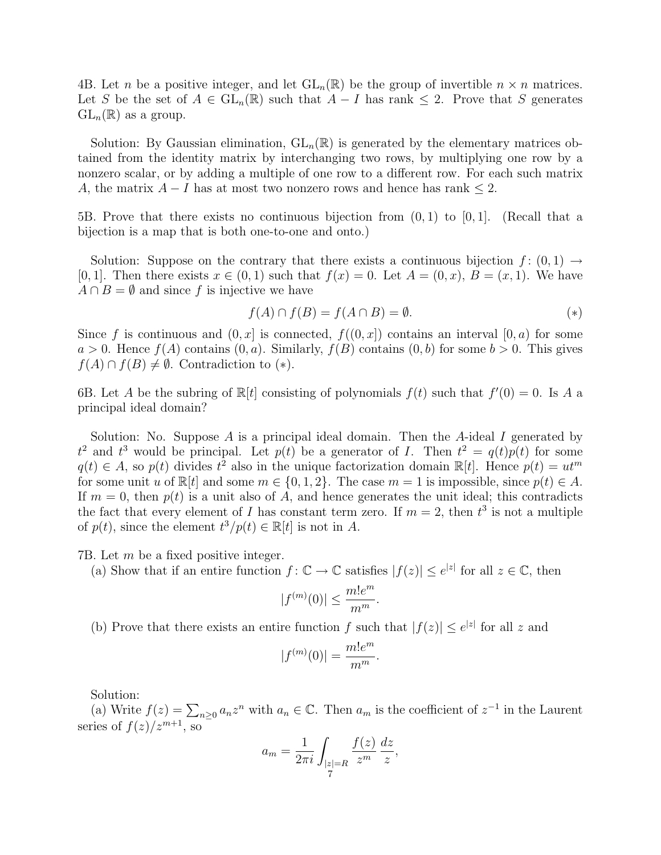4B. Let *n* be a positive integer, and let  $GL_n(\mathbb{R})$  be the group of invertible  $n \times n$  matrices. Let S be the set of  $A \in GL_n(\mathbb{R})$  such that  $A - I$  has rank  $\leq 2$ . Prove that S generates  $GL_n(\mathbb{R})$  as a group.

Solution: By Gaussian elimination,  $GL_n(\mathbb{R})$  is generated by the elementary matrices obtained from the identity matrix by interchanging two rows, by multiplying one row by a nonzero scalar, or by adding a multiple of one row to a different row. For each such matrix A, the matrix  $A - I$  has at most two nonzero rows and hence has rank  $\leq 2$ .

5B. Prove that there exists no continuous bijection from  $(0, 1)$  to  $[0, 1]$ . (Recall that a bijection is a map that is both one-to-one and onto.)

Solution: Suppose on the contrary that there exists a continuous bijection  $f: (0,1) \rightarrow$ [0, 1]. Then there exists  $x \in (0,1)$  such that  $f(x) = 0$ . Let  $A = (0,x)$ ,  $B = (x,1)$ . We have  $A \cap B = \emptyset$  and since f is injective we have

$$
f(A) \cap f(B) = f(A \cap B) = \emptyset. \tag{*}
$$

Since f is continuous and  $(0, x]$  is connected,  $f((0, x])$  contains an interval  $[0, a)$  for some  $a > 0$ . Hence  $f(A)$  contains  $(0, a)$ . Similarly,  $f(B)$  contains  $(0, b)$  for some  $b > 0$ . This gives  $f(A) \cap f(B) \neq \emptyset$ . Contradiction to (\*).

6B. Let A be the subring of  $\mathbb{R}[t]$  consisting of polynomials  $f(t)$  such that  $f'(0) = 0$ . Is A a principal ideal domain?

Solution: No. Suppose  $A$  is a principal ideal domain. Then the  $A$ -ideal  $I$  generated by  $t^2$  and  $t^3$  would be principal. Let  $p(t)$  be a generator of I. Then  $t^2 = q(t)p(t)$  for some  $q(t) \in A$ , so  $p(t)$  divides  $t^2$  also in the unique factorization domain  $\mathbb{R}[t]$ . Hence  $p(t) = ut^m$ for some unit u of  $\mathbb{R}[t]$  and some  $m \in \{0, 1, 2\}$ . The case  $m = 1$  is impossible, since  $p(t) \in A$ . If  $m = 0$ , then  $p(t)$  is a unit also of A, and hence generates the unit ideal; this contradicts the fact that every element of I has constant term zero. If  $m = 2$ , then  $t^3$  is not a multiple of  $p(t)$ , since the element  $t^3/p(t) \in \mathbb{R}[t]$  is not in A.

7B. Let m be a fixed positive integer.

(a) Show that if an entire function  $f: \mathbb{C} \to \mathbb{C}$  satisfies  $|f(z)| \leq e^{|z|}$  for all  $z \in \mathbb{C}$ , then

$$
|f^{(m)}(0)| \le \frac{m!e^m}{m^m}.
$$

(b) Prove that there exists an entire function f such that  $|f(z)| \leq e^{|z|}$  for all z and

$$
|f^{(m)}(0)| = \frac{m!e^m}{m^m}.
$$

Solution:

(a) Write  $f(z) = \sum_{n\geq 0} a_n z^n$  with  $a_n \in \mathbb{C}$ . Then  $a_m$  is the coefficient of  $z^{-1}$  in the Laurent series of  $f(z)/z^{m+1}$ , so

$$
a_m = \frac{1}{2\pi i} \int_{\substack{|z|=R\\7}} \frac{f(z)}{z^m} \frac{dz}{z},
$$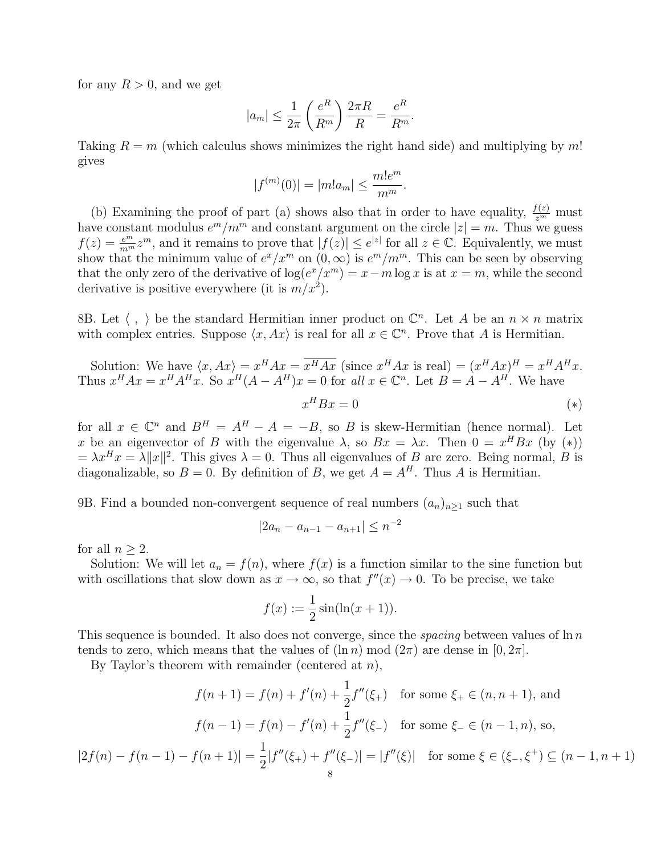for any  $R > 0$ , and we get

$$
|a_m| \le \frac{1}{2\pi} \left(\frac{e^R}{R^m}\right) \frac{2\pi R}{R} = \frac{e^R}{R^m}.
$$

Taking  $R = m$  (which calculus shows minimizes the right hand side) and multiplying by m! gives

$$
|f^{(m)}(0)| = |m!a_m| \le \frac{m!e^m}{m^m}.
$$

(b) Examining the proof of part (a) shows also that in order to have equality,  $\frac{f(z)}{z^m}$  must have constant modulus  $e^m/m^m$  and constant argument on the circle  $|z|=m$ . Thus we guess  $f(z) = \frac{e^m}{m^m} z^m$ , and it remains to prove that  $|f(z)| \le e^{|z|}$  for all  $z \in \mathbb{C}$ . Equivalently, we must show that the minimum value of  $e^x/x^m$  on  $(0,\infty)$  is  $e^m/m^m$ . This can be seen by observing that the only zero of the derivative of  $\log(e^x/x^m) = x - m \log x$  is at  $x = m$ , while the second derivative is positive everywhere (it is  $m/x^2$ ).

8B. Let  $\langle , \rangle$  be the standard Hermitian inner product on  $\mathbb{C}^n$ . Let A be an  $n \times n$  matrix with complex entries. Suppose  $\langle x, Ax \rangle$  is real for all  $x \in \mathbb{C}^n$ . Prove that A is Hermitian.

Solution: We have 
$$
\langle x, Ax \rangle = x^H Ax = \overline{x^H Ax}
$$
 (since  $x^H Ax$  is real) =  $(x^H Ax)^H = x^H A^H x$ .  
Thus  $x^H Ax = x^H A^H x$ . So  $x^H (A - A^H) x = 0$  for all  $x \in \mathbb{C}^n$ . Let  $B = A - A^H$ . We have  $x^H B x = 0$  (\*)

for all  $x \in \mathbb{C}^n$  and  $B^H = A^H - A = -B$ , so B is skew-Hermitian (hence normal). Let x be an eigenvector of B with the eigenvalue  $\lambda$ , so  $Bx = \lambda x$ . Then  $0 = x^H B x$  (by (\*))  $= \lambda x^H x = \lambda ||x||^2$ . This gives  $\lambda = 0$ . Thus all eigenvalues of B are zero. Being normal, B is diagonalizable, so  $B = 0$ . By definition of B, we get  $A = A<sup>H</sup>$ . Thus A is Hermitian.

9B. Find a bounded non-convergent sequence of real numbers  $(a_n)_{n\geq 1}$  such that

$$
|2a_n - a_{n-1} - a_{n+1}| \le n^{-2}
$$

for all  $n \geq 2$ .

Solution: We will let  $a_n = f(n)$ , where  $f(x)$  is a function similar to the sine function but with oscillations that slow down as  $x \to \infty$ , so that  $f''(x) \to 0$ . To be precise, we take

$$
f(x) := \frac{1}{2}\sin(\ln(x+1)).
$$

This sequence is bounded. It also does not converge, since the *spacing* between values of  $\ln n$ tends to zero, which means that the values of  $(\ln n) \mod (2\pi)$  are dense in  $[0, 2\pi]$ .

By Taylor's theorem with remainder (centered at  $n$ ),

$$
f(n+1) = f(n) + f'(n) + \frac{1}{2}f''(\xi_+) \quad \text{for some } \xi_+ \in (n, n+1), \text{ and}
$$

$$
f(n-1) = f(n) - f'(n) + \frac{1}{2}f''(\xi_-) \quad \text{for some } \xi_- \in (n-1, n), \text{ so,}
$$

$$
|2f(n) - f(n-1) - f(n+1)| = \frac{1}{2}|f''(\xi_+) + f''(\xi_-)| = |f''(\xi)| \quad \text{for some } \xi \in (\xi_-, \xi^+) \subseteq (n-1, n+1)
$$